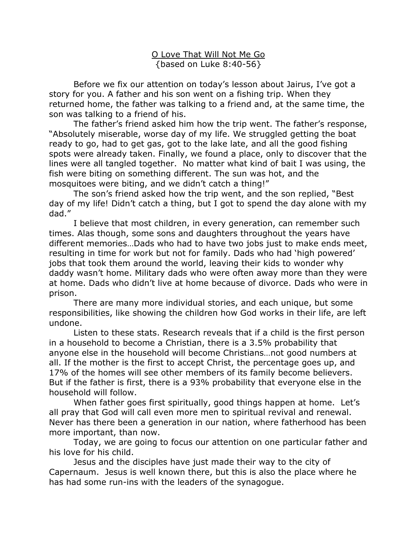O Love That Will Not Me Go {based on Luke 8:40-56}

Before we fix our attention on today's lesson about Jairus, I've got a story for you. A father and his son went on a fishing trip. When they returned home, the father was talking to a friend and, at the same time, the son was talking to a friend of his.

The father's friend asked him how the trip went. The father's response, "Absolutely miserable, worse day of my life. We struggled getting the boat ready to go, had to get gas, got to the lake late, and all the good fishing spots were already taken. Finally, we found a place, only to discover that the lines were all tangled together. No matter what kind of bait I was using, the fish were biting on something different. The sun was hot, and the mosquitoes were biting, and we didn't catch a thing!"

 The son's friend asked how the trip went, and the son replied, "Best day of my life! Didn't catch a thing, but I got to spend the day alone with my dad."

I believe that most children, in every generation, can remember such times. Alas though, some sons and daughters throughout the years have different memories…Dads who had to have two jobs just to make ends meet, resulting in time for work but not for family. Dads who had 'high powered' jobs that took them around the world, leaving their kids to wonder why daddy wasn't home. Military dads who were often away more than they were at home. Dads who didn't live at home because of divorce. Dads who were in prison.

There are many more individual stories, and each unique, but some responsibilities, like showing the children how God works in their life, are left undone.

 Listen to these stats. Research reveals that if a child is the first person in a household to become a Christian, there is a 3.5% probability that anyone else in the household will become Christians…not good numbers at all. If the mother is the first to accept Christ, the percentage goes up, and 17% of the homes will see other members of its family become believers. But if the father is first, there is a 93% probability that everyone else in the household will follow.

When father goes first spiritually, good things happen at home. Let's all pray that God will call even more men to spiritual revival and renewal. Never has there been a generation in our nation, where fatherhood has been more important, than now.

Today, we are going to focus our attention on one particular father and his love for his child.

Jesus and the disciples have just made their way to the city of Capernaum. Jesus is well known there, but this is also the place where he has had some run-ins with the leaders of the synagogue.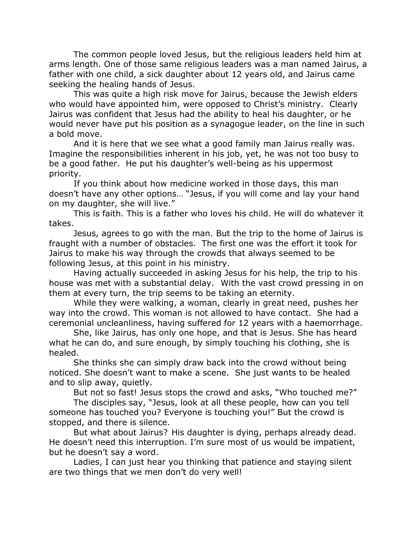The common people loved Jesus, but the religious leaders held him at arms length. One of those same religious leaders was a man named Jairus, a father with one child, a sick daughter about 12 years old, and Jairus came seeking the healing hands of Jesus.

This was quite a high risk move for Jairus, because the Jewish elders who would have appointed him, were opposed to Christ's ministry. Clearly Jairus was confident that Jesus had the ability to heal his daughter, or he would never have put his position as a synagogue leader, on the line in such a bold move.

And it is here that we see what a good family man Jairus really was. Imagine the responsibilities inherent in his job, yet, he was not too busy to be a good father. He put his daughter's well-being as his uppermost priority.

If you think about how medicine worked in those days, this man doesn't have any other options… "Jesus, if you will come and lay your hand on my daughter, she will live."

 This is faith. This is a father who loves his child. He will do whatever it takes.

Jesus, agrees to go with the man. But the trip to the home of Jairus is fraught with a number of obstacles. The first one was the effort it took for Jairus to make his way through the crowds that always seemed to be following Jesus, at this point in his ministry.

Having actually succeeded in asking Jesus for his help, the trip to his house was met with a substantial delay. With the vast crowd pressing in on them at every turn, the trip seems to be taking an eternity.

While they were walking, a woman, clearly in great need, pushes her way into the crowd. This woman is not allowed to have contact. She had a ceremonial uncleanliness, having suffered for 12 years with a haemorrhage.

She, like Jairus, has only one hope, and that is Jesus. She has heard what he can do, and sure enough, by simply touching his clothing, she is healed.

She thinks she can simply draw back into the crowd without being noticed. She doesn't want to make a scene. She just wants to be healed and to slip away, quietly.

But not so fast! Jesus stops the crowd and asks, "Who touched me?"

The disciples say, "Jesus, look at all these people, how can you tell someone has touched you? Everyone is touching you!" But the crowd is stopped, and there is silence.

But what about Jairus? His daughter is dying, perhaps already dead. He doesn't need this interruption. I'm sure most of us would be impatient, but he doesn't say a word.

Ladies, I can just hear you thinking that patience and staying silent are two things that we men don't do very well!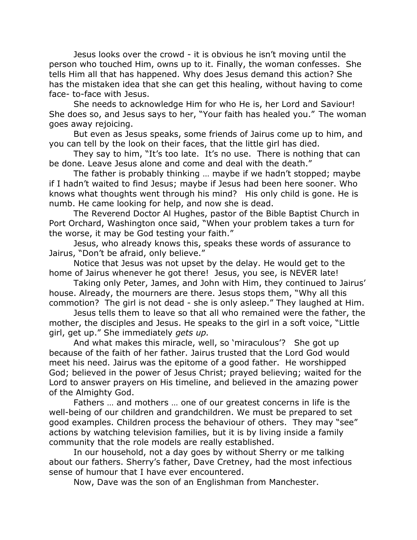Jesus looks over the crowd - it is obvious he isn't moving until the person who touched Him, owns up to it. Finally, the woman confesses. She tells Him all that has happened. Why does Jesus demand this action? She has the mistaken idea that she can get this healing, without having to come face- to-face with Jesus.

She needs to acknowledge Him for who He is, her Lord and Saviour! She does so, and Jesus says to her, "Your faith has healed you." The woman goes away rejoicing.

But even as Jesus speaks, some friends of Jairus come up to him, and you can tell by the look on their faces, that the little girl has died.

They say to him, "It's too late. It's no use. There is nothing that can be done. Leave Jesus alone and come and deal with the death."

The father is probably thinking … maybe if we hadn't stopped; maybe if I hadn't waited to find Jesus; maybe if Jesus had been here sooner. Who knows what thoughts went through his mind? His only child is gone. He is numb. He came looking for help, and now she is dead.

The Reverend Doctor Al Hughes, pastor of the Bible Baptist Church in Port Orchard, Washington once said, "When your problem takes a turn for the worse, it may be God testing your faith."

Jesus, who already knows this, speaks these words of assurance to Jairus, "Don't be afraid, only believe."

Notice that Jesus was not upset by the delay. He would get to the home of Jairus whenever he got there! Jesus, you see, is NEVER late!

Taking only Peter, James, and John with Him, they continued to Jairus' house. Already, the mourners are there. Jesus stops them, "Why all this commotion? The girl is not dead - she is only asleep." They laughed at Him.

Jesus tells them to leave so that all who remained were the father, the mother, the disciples and Jesus. He speaks to the girl in a soft voice, "Little girl, get up." She immediately *gets up.*

And what makes this miracle, well, so 'miraculous'? She got up because of the faith of her father. Jairus trusted that the Lord God would meet his need. Jairus was the epitome of a good father. He worshipped God; believed in the power of Jesus Christ; prayed believing; waited for the Lord to answer prayers on His timeline, and believed in the amazing power of the Almighty God.

Fathers … and mothers … one of our greatest concerns in life is the well-being of our children and grandchildren. We must be prepared to set good examples. Children process the behaviour of others. They may "see" actions by watching television families, but it is by living inside a family community that the role models are really established.

In our household, not a day goes by without Sherry or me talking about our fathers. Sherry's father, Dave Cretney, had the most infectious sense of humour that I have ever encountered.

Now, Dave was the son of an Englishman from Manchester.